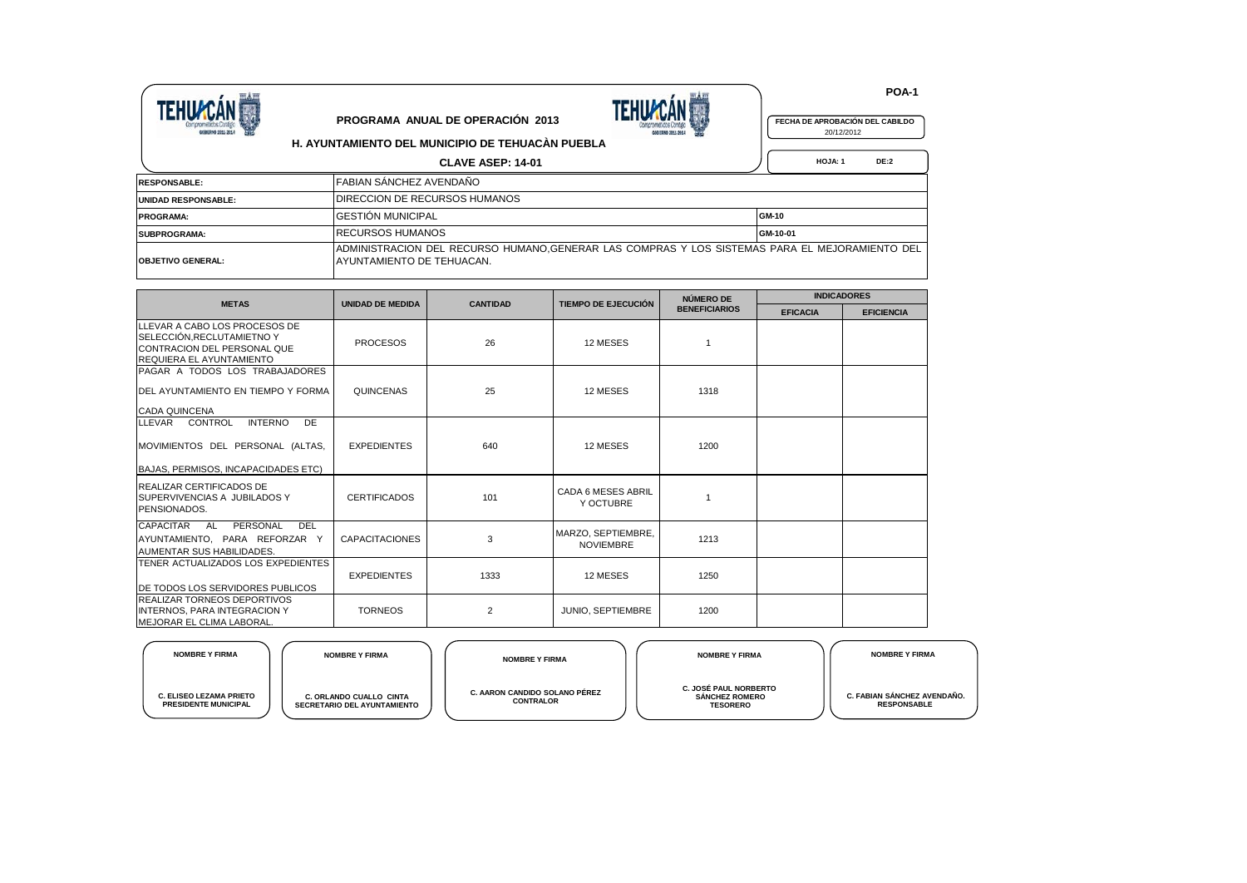



 **POA-1**

20/12/2012

**H. AYUNTAMIENTO DEL MUNICIPIO DE TEHUACÀN PUEBLA**

 **HOJA: 1 DE:2**

**CLAVE ASEP: 14-01**

| <b>RESPONSABLE:</b>      | FABIAN SANCHEZ AVENDAÑO                                                                                                       |          |  |  |  |  |  |  |
|--------------------------|-------------------------------------------------------------------------------------------------------------------------------|----------|--|--|--|--|--|--|
| UNIDAD RESPONSABLE:      | <b>IDIRECCION DE RECURSOS HUMANOS</b>                                                                                         |          |  |  |  |  |  |  |
| <b>PROGRAMA:</b>         | <b>GESTIÓN MUNICIPAL</b>                                                                                                      | GM-10    |  |  |  |  |  |  |
| <b>SUBPROGRAMA:</b>      | <b>RECURSOS HUMANOS</b>                                                                                                       | GM-10-01 |  |  |  |  |  |  |
| <b>OBJETIVO GENERAL:</b> | ADMINISTRACION DEL RECURSO HUMANO.GENERAR LAS COMPRAS Y LOS SISTEMAS PARA EL MEJORAMIENTO DEL 1<br>IAYUNTAMIENTO DE TEHUACAN. |          |  |  |  |  |  |  |

| <b>METAS</b>                                                                                                                 |                         |                 |                                        | NÚMERO DE            | <b>INDICADORES</b> |                   |  |
|------------------------------------------------------------------------------------------------------------------------------|-------------------------|-----------------|----------------------------------------|----------------------|--------------------|-------------------|--|
|                                                                                                                              | <b>UNIDAD DE MEDIDA</b> | <b>CANTIDAD</b> | <b>TIEMPO DE EJECUCIÓN</b>             | <b>BENEFICIARIOS</b> | <b>EFICACIA</b>    | <b>EFICIENCIA</b> |  |
| LLEVAR A CABO LOS PROCESOS DE<br>SELECCIÓN.RECLUTAMIETNO Y<br>CONTRACION DEL PERSONAL QUE<br><b>REQUIERA EL AYUNTAMIENTO</b> | <b>PROCESOS</b>         | 26              | 12 MESES                               |                      |                    |                   |  |
| PAGAR A TODOS LOS TRABAJADORES<br>DEL AYUNTAMIENTO EN TIEMPO Y FORMA<br><b>CADA QUINCENA</b>                                 | <b>QUINCENAS</b>        | 25              | 12 MESES                               | 1318                 |                    |                   |  |
| <b>INTERNO</b><br><b>DE</b><br>LLEVAR<br>CONTROL<br>MOVIMIENTOS DEL PERSONAL (ALTAS,<br>BAJAS, PERMISOS, INCAPACIDADES ETC)  | <b>EXPEDIENTES</b>      | 640             | 12 MESES                               | 1200                 |                    |                   |  |
| <b>REALIZAR CERTIFICADOS DE</b><br><b>ISUPERVIVENCIAS A JUBILADOS Y</b><br>PENSIONADOS.                                      | <b>CERTIFICADOS</b>     | 101             | CADA 6 MESES ABRIL<br>Y OCTUBRE        |                      |                    |                   |  |
| PERSONAL<br><b>CAPACITAR</b><br>DEL<br><b>AL</b><br>AYUNTAMIENTO, PARA REFORZAR Y<br>AUMENTAR SUS HABILIDADES.               | <b>CAPACITACIONES</b>   | 3               | MARZO, SEPTIEMBRE,<br><b>NOVIEMBRE</b> | 1213                 |                    |                   |  |
| <b>ITENER ACTUALIZADOS LOS EXPEDIENTES</b><br><b>IDE TODOS LOS SERVIDORES PUBLICOS</b>                                       | <b>EXPEDIENTES</b>      | 1333            | 12 MESES                               | 1250                 |                    |                   |  |
| <b>REALIZAR TORNEOS DEPORTIVOS</b><br><b>INTERNOS, PARA INTEGRACION Y</b><br><b>IMEJORAR EL CLIMA LABORAL.</b>               | <b>TORNEOS</b>          | 2               | <b>JUNIO, SEPTIEMBRE</b>               | 1200                 |                    |                   |  |

| <b>NOMBRE Y FIRMA</b>          | <b>NOMBRE Y FIRMA</b>              |
|--------------------------------|------------------------------------|
| <b>C. ELISEO LEZAMA PRIETO</b> | <b>C. ORLANDO CUALLO CINTA</b>     |
| <b>PRESIDENTE MUNICIPAL</b>    | <b>SECRETARIO DEL AYUNTAMIENTO</b> |

**C. AARON CANDIDO SOLANO PÉREZ CONTRALOR**

**NOMBRE Y FIRMA** 

**C. JOSÉ PAUL NORBERTO SÁNCHEZ ROMERO TESORERO**

**NOMBRE Y FIRMA** 

**NOMBRE Y FIRMA** 

**C. FABIAN SÁNCHEZ AVENDAÑO. RESPONSABLE**